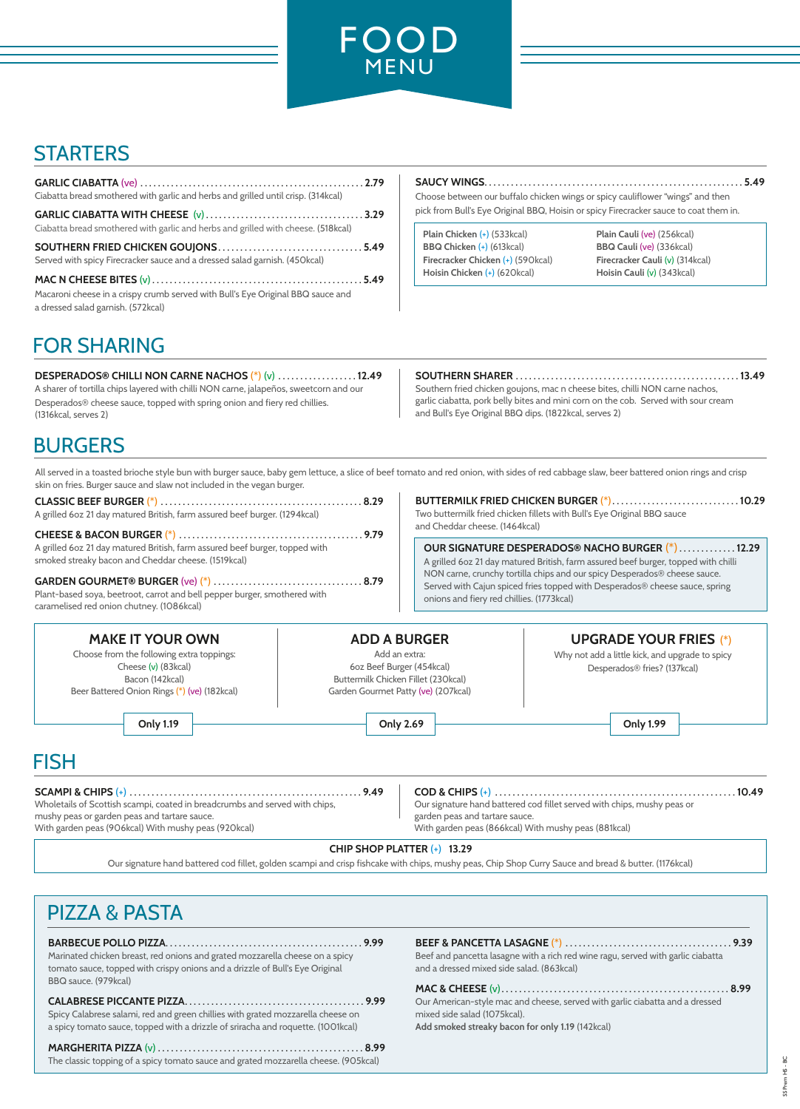

# **STARTERS**

| Ciabatta bread smothered with garlic and herbs and grilled until crisp. (314kcal)                                     |  |
|-----------------------------------------------------------------------------------------------------------------------|--|
| Ciabatta bread smothered with garlic and herbs and grilled with cheese. (518kcal)                                     |  |
| Served with spicy Firecracker sauce and a dressed salad garnish. (450kcal)                                            |  |
| Macaroni cheese in a crispy crumb served with Bull's Eye Original BBQ sauce and<br>a dressed salad garnish. (572kcal) |  |

**SAUCY WINGS**. . . . . . . . . . . . . . . . . . . . . . . . . . . . . . . . . . . . . . . . . . . . . . . . . . . . . . . . . . . **5.49**

Choose between our buffalo chicken wings or spicy cauliflower "wings" and then pick from Bull's Eye Original BBQ, Hoisin or spicy Firecracker sauce to coat them in.

**Plain Chicken** (+) (533kcal) **Plain Cauli** (ve) (256kcal) **BBQ Chicken** (+) (613kcal) **BBQ Cauli** (ve) (336kcal) **Firecracker Chicken** (+) (590kcal) **Firecracker Cauli** (v) (314kcal) **Hoisin Chicken** (+) (620kcal) **Hoisin Cauli** (v) (343kcal)

# FOR SHARING

**DESPERADOS® CHILLI NON CARNE NACHOS** (\*) (v) . . . . . . . . . . . . . . . . . . **12.49** A sharer of tortilla chips layered with chilli NON carne, jalapeños, sweetcorn and our Desperados® cheese sauce, topped with spring onion and fiery red chillies. (1316kcal, serves 2)

## **SOUTHERN SHARER** . . . . . . . . . . . . . . . . . . . . . . . . . . . . . . . . . . . . . . . . . . . . . . . . . . . **13.49**

Southern fried chicken goujons, mac n cheese bites, chilli NON carne nachos, garlic ciabatta, pork belly bites and mini corn on the cob. Served with sour cream and Bull's Eye Original BBQ dips. (1822kcal, serves 2)

## BURGERS

All served in a toasted brioche style bun with burger sauce, baby gem lettuce, a slice of beef tomato and red onion, with sides of red cabbage slaw, beer battered onion rings and crisp skin on fries. Burger sauce and slaw not included in the vegan burger.

**CLASSIC BEEF BURGER** (\*) . . . . . . . . . . . . . . . . . . . . . . . . . . . . . . . . . . . . . . . . . . . . . . **8.29** A grilled 6oz 21 day matured British, farm assured beef burger. (1294kcal)

**CHEESE & BACON BURGER** (\*) . . . . . . . . . . . . . . . . . . . . . . . . . . . . . . . . . . . . . . . . . . **9.79** A grilled 6oz 21 day matured British, farm assured beef burger, topped with smoked streaky bacon and Cheddar cheese. (1519kcal)

**GARDEN GOURMET® BURGER** (ve) (\*) . . . . . . . . . . . . . . . . . . . . . . . . . . . . . . . . . . **8.79** Plant-based soya, beetroot, carrot and bell pepper burger, smothered with caramelised red onion chutney. (1086kcal)

**BUTTERMILK FRIED CHICKEN BURGER** (\*). . . . . . . . . . . . . . . . . . . . . . . . . . . . . **10.29** Two buttermilk fried chicken fillets with Bull's Eye Original BBQ sauce and Cheddar cheese. (1464kcal)

**OUR SIGNATURE DESPERADOS® NACHO BURGER** (\*) . . . . . . . . . . . . . **12.29** A grilled 6oz 21 day matured British, farm assured beef burger, topped with chilli NON carne, crunchy tortilla chips and our spicy Desperados® cheese sauce. Served with Cajun spiced fries topped with Desperados® cheese sauce, spring onions and fiery red chillies. (1773kcal)

### **MAKE IT YOUR OWN** Choose from the following extra toppings: Cheese (v) (83kcal) Bacon (142kcal) Beer Battered Onion Rings (\*) (ve) (182kcal) **ADD A BURGER** Add an extra: 6oz Beef Burger (454kcal) Buttermilk Chicken Fillet (230kcal) Garden Gourmet Patty (ve) (207kcal) **UPGRADE YOUR FRIES** (\*) Why not add a little kick, and upgrade to spicy Desperados® fries? (137kcal) **Only 1.19 Only 2.69 Only 1.99**

# FISH

**SCAMPI & CHIPS** (+) . . . . . . . . . . . . . . . . . . . . . . . . . . . . . . . . . . . . . . . . . . . . . . . . . . . . . **9.49** Wholetails of Scottish scampi, coated in breadcrumbs and served with chips, mushy peas or garden peas and tartare sauce. With garden peas (906kcal) With mushy peas (920kcal)

**COD & CHIPS** (+) . . . . . . . . . . . . . . . . . . . . . . . . . . . . . . . . . . . . . . . . . . . . . . . . . . . . . . . **10.49**

Our signature hand battered cod fillet served with chips, mushy peas or garden peas and tartare sauce. With garden peas (866kcal) With mushy peas (881kcal)

## **CHIP SHOP PLATTER** (+) **13.29**

Our signature hand battered cod fillet, golden scampi and crisp fishcake with chips, mushy peas, Chip Shop Curry Sauce and bread & butter. (1176kcal)

# PIZZA & PASTA

**BARBECUE POLLO PIZZA**. . . . . . . . . . . . . . . . . . . . . . . . . . . . . . . . . . . . . . . . . . . . . **9.99**  Marinated chicken breast, red onions and grated mozzarella cheese on a spicy tomato sauce, topped with crispy onions and a drizzle of Bull's Eye Original BBQ sauce. (979kcal)

### **CALABRESE PICCANTE PIZZA**. . . . . . . . . . . . . . . . . . . . . . . . . . . . . . . . . . . . . . . . . **9.99**  Spicy Calabrese salami, red and green chillies with grated mozzarella cheese on a spicy tomato sauce, topped with a drizzle of sriracha and roquette. (1001kcal)

**MARGHERITA PIZZA** (v) . . . . . . . . . . . . . . . . . . . . . . . . . . . . . . . . . . . . . . . . . . . . . . . **8.99**  The classic topping of a spicy tomato sauce and grated mozzarella cheese. (905kcal)

Beef and pancetta lasagne with a rich red wine ragu, served with garlic ciabatta and a dressed mixed side salad. (863kcal)

## **MAC & CHEESE** (v). . . . . . . . . . . . . . . . . . . . . . . . . . . . . . . . . . . . . . . . . . . . . . . . . . . . **8.99**

Our American-style mac and cheese, served with garlic ciabatta and a dressed mixed side salad (1075kcal). **Add smoked streaky bacon for only 1.19** (142kcal)

**BEEF & PANCETTA LASAGNE** (\*) . . . . . . . . . . . . . . . . . . . . . . . . . . . . . . . . . . . . . . **9.39**

SS Prem HS - BCŕ SS Prem